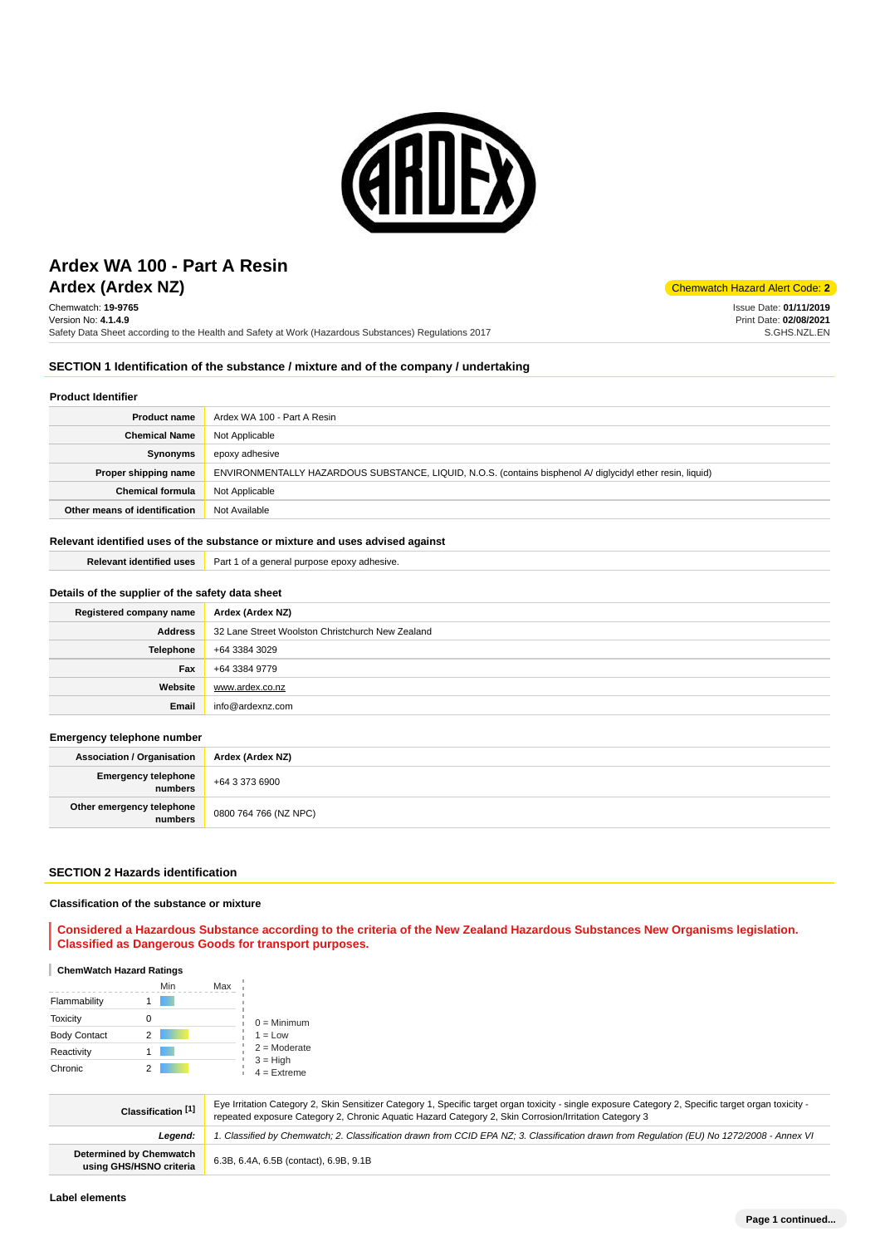

# **Ardex (Ardex NZ)** Chemwatch Hazard Alert Code: 2 **Ardex WA 100 - Part A Resin**

Chemwatch: **19-9765** Version No: **4.1.4.9** Safety Data Sheet according to the Health and Safety at Work (Hazardous Substances) Regulations 2017

Issue Date: **01/11/2019** Print Date: **02/08/2021** S.GHS.NZL.EN

### **SECTION 1 Identification of the substance / mixture and of the company / undertaking**

### **Product Identifier**

| <b>Product name</b>           | Ardex WA 100 - Part A Resin                                                                                |  |
|-------------------------------|------------------------------------------------------------------------------------------------------------|--|
| <b>Chemical Name</b>          | Not Applicable                                                                                             |  |
| Synonyms                      | epoxy adhesive                                                                                             |  |
| Proper shipping name          | ENVIRONMENTALLY HAZARDOUS SUBSTANCE, LIQUID, N.O.S. (contains bisphenol A/ diglycidyl ether resin, liquid) |  |
| <b>Chemical formula</b>       | Not Applicable                                                                                             |  |
| Other means of identification | Not Available                                                                                              |  |

### **Relevant identified uses of the substance or mixture and uses advised against Relevant identified uses Part 1 of a general purpose epoxy adhesive.**

| Details of the supplier of the safety data sheet |                                                  |  |
|--------------------------------------------------|--------------------------------------------------|--|
| Registered company name                          | Ardex (Ardex NZ)                                 |  |
| <b>Address</b>                                   | 32 Lane Street Woolston Christchurch New Zealand |  |
| <b>Telephone</b>                                 | +64 3384 3029                                    |  |
| Fax                                              | +64 3384 9779                                    |  |
| Website                                          | www.ardex.co.nz                                  |  |

**Email** info@ardexnz.com

#### **Emergency telephone number**

| <b>Association / Organisation</b>    | Ardex (Ardex NZ)      |  |
|--------------------------------------|-----------------------|--|
| Emergency telephone<br>numbers       | +64 3 373 6900        |  |
| Other emergency telephone<br>numbers | 0800 764 766 (NZ NPC) |  |

### **SECTION 2 Hazards identification**

#### **Classification of the substance or mixture**

**Considered a Hazardous Substance according to the criteria of the New Zealand Hazardous Substances New Organisms legislation. Classified as Dangerous Goods for transport purposes.**

#### **ChemWatch Hazard Ratings**

|                     | Min | Max |                             |
|---------------------|-----|-----|-----------------------------|
| Flammability        |     |     |                             |
| <b>Toxicity</b>     |     |     | $0 =$ Minimum               |
| <b>Body Contact</b> | 2   |     | $1 = Low$                   |
| Reactivity          |     |     | $2 =$ Moderate              |
| Chronic             |     |     | $3 = High$<br>$4 =$ Extreme |

| Classification [1]                                 | Eye Irritation Category 2, Skin Sensitizer Category 1, Specific target organ toxicity - single exposure Category 2, Specific target organ toxicity -<br>repeated exposure Category 2, Chronic Aquatic Hazard Category 2, Skin Corrosion/Irritation Category 3 |  |
|----------------------------------------------------|---------------------------------------------------------------------------------------------------------------------------------------------------------------------------------------------------------------------------------------------------------------|--|
| Leaend:                                            | 1. Classified by Chemwatch; 2. Classification drawn from CCID EPA NZ; 3. Classification drawn from Requlation (EU) No 1272/2008 - Annex VI                                                                                                                    |  |
| Determined by Chemwatch<br>using GHS/HSNO criteria | 6.3B, 6.4A, 6.5B (contact), 6.9B, 9.1B                                                                                                                                                                                                                        |  |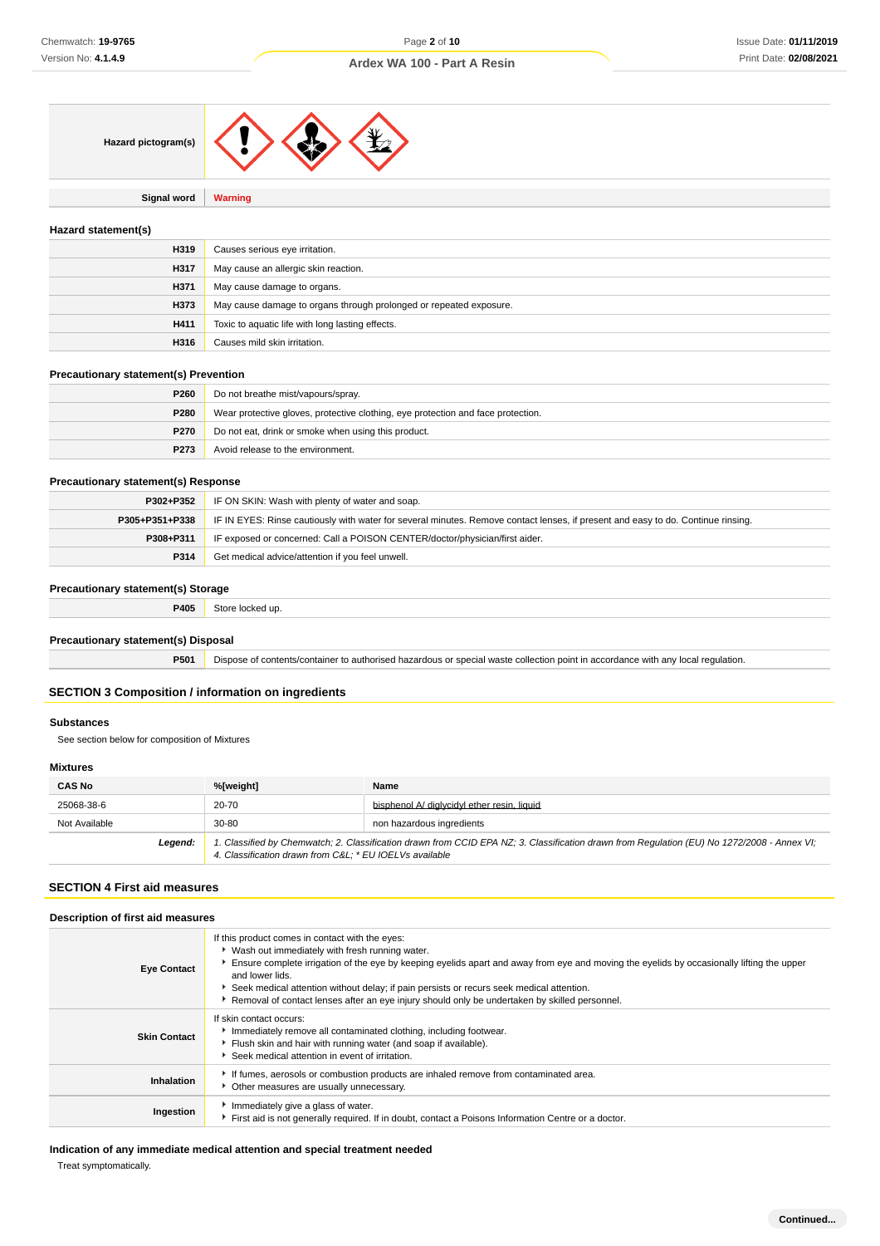

**Signal word Warning**

#### **Hazard statement(s)**

| H319 | Causes serious eye irritation.                                     |
|------|--------------------------------------------------------------------|
| H317 | May cause an allergic skin reaction.                               |
| H371 | May cause damage to organs.                                        |
| H373 | May cause damage to organs through prolonged or repeated exposure. |
| H411 | Toxic to aquatic life with long lasting effects.                   |
| H316 | Causes mild skin irritation.                                       |

#### **Precautionary statement(s) Prevention**

| P260 | Do not breathe mist/vapours/spray.                                               |  |
|------|----------------------------------------------------------------------------------|--|
| P280 | Wear protective gloves, protective clothing, eye protection and face protection. |  |
| P270 | Do not eat, drink or smoke when using this product.                              |  |
| P273 | Avoid release to the environment.                                                |  |

#### **Precautionary statement(s) Response**

| P302+P352      | IF ON SKIN: Wash with plenty of water and soap.                                                                                  |  |
|----------------|----------------------------------------------------------------------------------------------------------------------------------|--|
| P305+P351+P338 | IF IN EYES: Rinse cautiously with water for several minutes. Remove contact lenses, if present and easy to do. Continue rinsing. |  |
| P308+P311      | IF exposed or concerned: Call a POISON CENTER/doctor/physician/first aider.                                                      |  |
| P314           | Get medical advice/attention if you feel unwell.                                                                                 |  |

#### **Precautionary statement(s) Storage**

|       | __ |
|-------|----|
|       |    |
| $  -$ |    |
| .     | .  |
|       |    |

### **Precautionary statement(s) Disposal**

**P501** Dispose of contents/container to authorised hazardous or special waste collection point in accordance with any local regulation.

### **SECTION 3 Composition / information on ingredients**

### **Substances**

See section below for composition of Mixtures

#### **Mixtures**

| <b>CAS No</b> | %[weight]                                                                                                                                                                                             | Name                                        |
|---------------|-------------------------------------------------------------------------------------------------------------------------------------------------------------------------------------------------------|---------------------------------------------|
| 25068-38-6    | 20-70                                                                                                                                                                                                 | bisphenol A/ dialvcidyl ether resin, liquid |
| Not Available | $30 - 80$<br>non hazardous ingredients                                                                                                                                                                |                                             |
| Leaend:       | 1. Classified by Chemwatch; 2. Classification drawn from CCID EPA NZ; 3. Classification drawn from Regulation (EU) No 1272/2008 - Annex VI;<br>4. Classification drawn from C&L * EU IOELVs available |                                             |

#### **SECTION 4 First aid measures**

### **Description of first aid measures**

| <b>Eye Contact</b>  | If this product comes in contact with the eyes:<br>• Wash out immediately with fresh running water.<br>Ensure complete irrigation of the eye by keeping eyelids apart and away from eye and moving the eyelids by occasionally lifting the upper<br>and lower lids.<br>Seek medical attention without delay; if pain persists or recurs seek medical attention.<br>Removal of contact lenses after an eye injury should only be undertaken by skilled personnel. |  |
|---------------------|------------------------------------------------------------------------------------------------------------------------------------------------------------------------------------------------------------------------------------------------------------------------------------------------------------------------------------------------------------------------------------------------------------------------------------------------------------------|--|
| <b>Skin Contact</b> | If skin contact occurs:<br>Immediately remove all contaminated clothing, including footwear.<br>Flush skin and hair with running water (and soap if available).<br>Seek medical attention in event of irritation.                                                                                                                                                                                                                                                |  |
| Inhalation          | If fumes, aerosols or combustion products are inhaled remove from contaminated area.<br>• Other measures are usually unnecessary.                                                                                                                                                                                                                                                                                                                                |  |
| Ingestion           | Immediately give a glass of water.<br>First aid is not generally required. If in doubt, contact a Poisons Information Centre or a doctor.                                                                                                                                                                                                                                                                                                                        |  |

**Indication of any immediate medical attention and special treatment needed**

Treat symptomatically.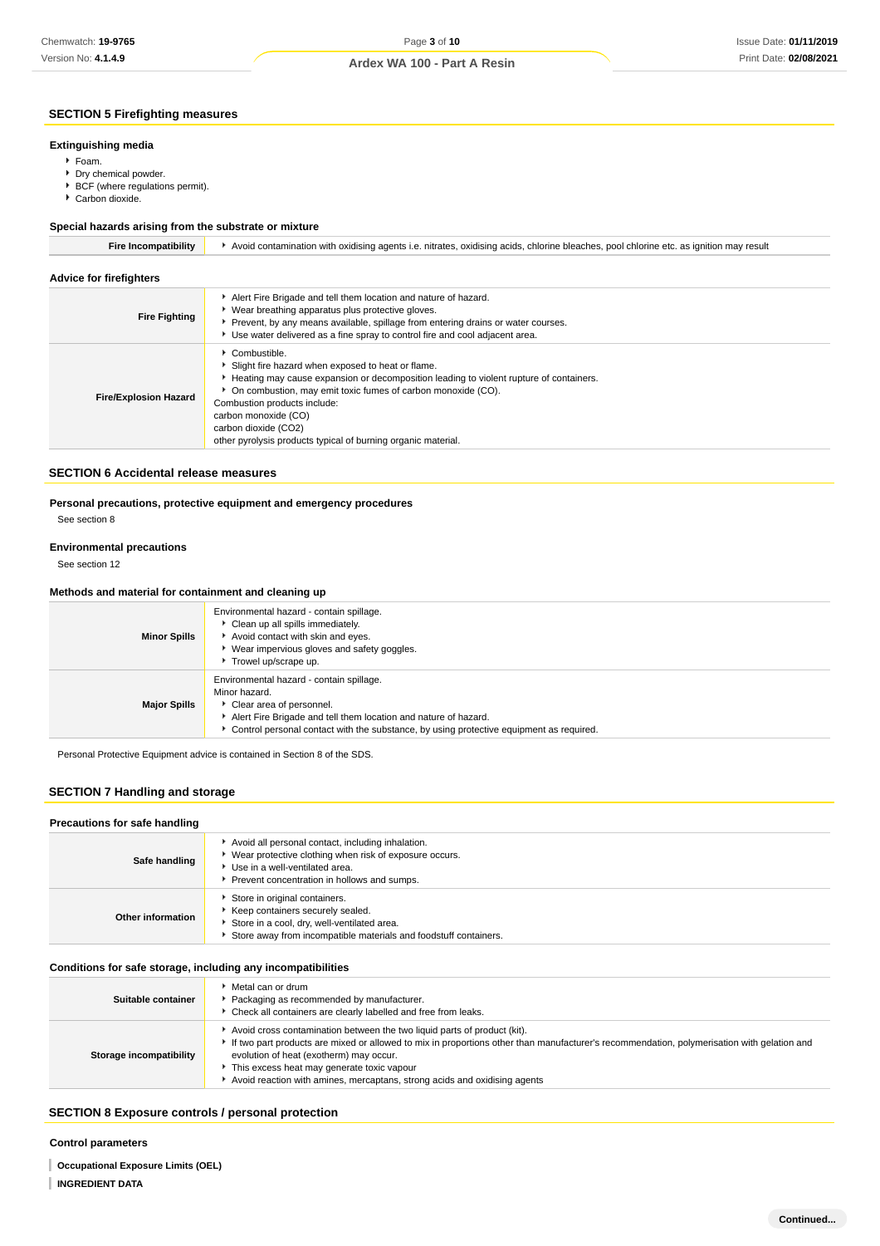## Page **3** of **10 Ardex WA 100 - Part A Resin**

### **SECTION 5 Firefighting measures**

#### **Extinguishing media**

- Foam.
- **Dry chemical powder.**
- **BCF** (where regulations permit).
- Carbon dioxide.

#### **Special hazards arising from the substrate or mixture**

| <b>Fire Incompatibility</b>    | Avoid contamination with oxidising agents i.e. nitrates, oxidising acids, chlorine bleaches, pool chlorine etc. as ignition may result                                                                                                                                                                                                                                         |  |  |
|--------------------------------|--------------------------------------------------------------------------------------------------------------------------------------------------------------------------------------------------------------------------------------------------------------------------------------------------------------------------------------------------------------------------------|--|--|
| <b>Advice for firefighters</b> |                                                                                                                                                                                                                                                                                                                                                                                |  |  |
| <b>Fire Fighting</b>           | Alert Fire Brigade and tell them location and nature of hazard.<br>▶ Wear breathing apparatus plus protective gloves.<br>Prevent, by any means available, spillage from entering drains or water courses.<br>► Use water delivered as a fine spray to control fire and cool adjacent area.                                                                                     |  |  |
| <b>Fire/Explosion Hazard</b>   | Combustible.<br>Slight fire hazard when exposed to heat or flame.<br>Heating may cause expansion or decomposition leading to violent rupture of containers.<br>▶ On combustion, may emit toxic fumes of carbon monoxide (CO).<br>Combustion products include:<br>carbon monoxide (CO)<br>carbon dioxide (CO2)<br>other pyrolysis products typical of burning organic material. |  |  |

#### **SECTION 6 Accidental release measures**

# **Personal precautions, protective equipment and emergency procedures**

See section 8

#### **Environmental precautions**

See section 12

#### **Methods and material for containment and cleaning up**

| <b>Minor Spills</b> | Environmental hazard - contain spillage.<br>Clean up all spills immediately.<br>Avoid contact with skin and eyes.<br>▶ Wear impervious gloves and safety goggles.<br>Trowel up/scrape up.                                                             |
|---------------------|-------------------------------------------------------------------------------------------------------------------------------------------------------------------------------------------------------------------------------------------------------|
| <b>Major Spills</b> | Environmental hazard - contain spillage.<br>Minor hazard.<br>Clear area of personnel.<br>Alert Fire Brigade and tell them location and nature of hazard.<br>• Control personal contact with the substance, by using protective equipment as required. |

Personal Protective Equipment advice is contained in Section 8 of the SDS.

### **SECTION 7 Handling and storage**

#### **Precautions for safe handling**

| Safe handling     | Avoid all personal contact, including inhalation.<br>▶ Wear protective clothing when risk of exposure occurs.<br>Use in a well-ventilated area.                                      |
|-------------------|--------------------------------------------------------------------------------------------------------------------------------------------------------------------------------------|
|                   | Prevent concentration in hollows and sumps.                                                                                                                                          |
| Other information | Store in original containers.<br>Keep containers securely sealed.<br>Store in a cool, dry, well-ventilated area.<br>Store away from incompatible materials and foodstuff containers. |

#### **Conditions for safe storage, including any incompatibilities**

| Suitable container      | Metal can or drum<br>Packaging as recommended by manufacturer.<br>Check all containers are clearly labelled and free from leaks.                                                                                                                                                                                                                                                             |
|-------------------------|----------------------------------------------------------------------------------------------------------------------------------------------------------------------------------------------------------------------------------------------------------------------------------------------------------------------------------------------------------------------------------------------|
| Storage incompatibility | Avoid cross contamination between the two liquid parts of product (kit).<br>If two part products are mixed or allowed to mix in proportions other than manufacturer's recommendation, polymerisation with gelation and<br>evolution of heat (exotherm) may occur.<br>This excess heat may generate toxic vapour<br>Avoid reaction with amines, mercaptans, strong acids and oxidising agents |

### **SECTION 8 Exposure controls / personal protection**

#### **Control parameters**

**Occupational Exposure Limits (OEL)**

**INGREDIENT DATA**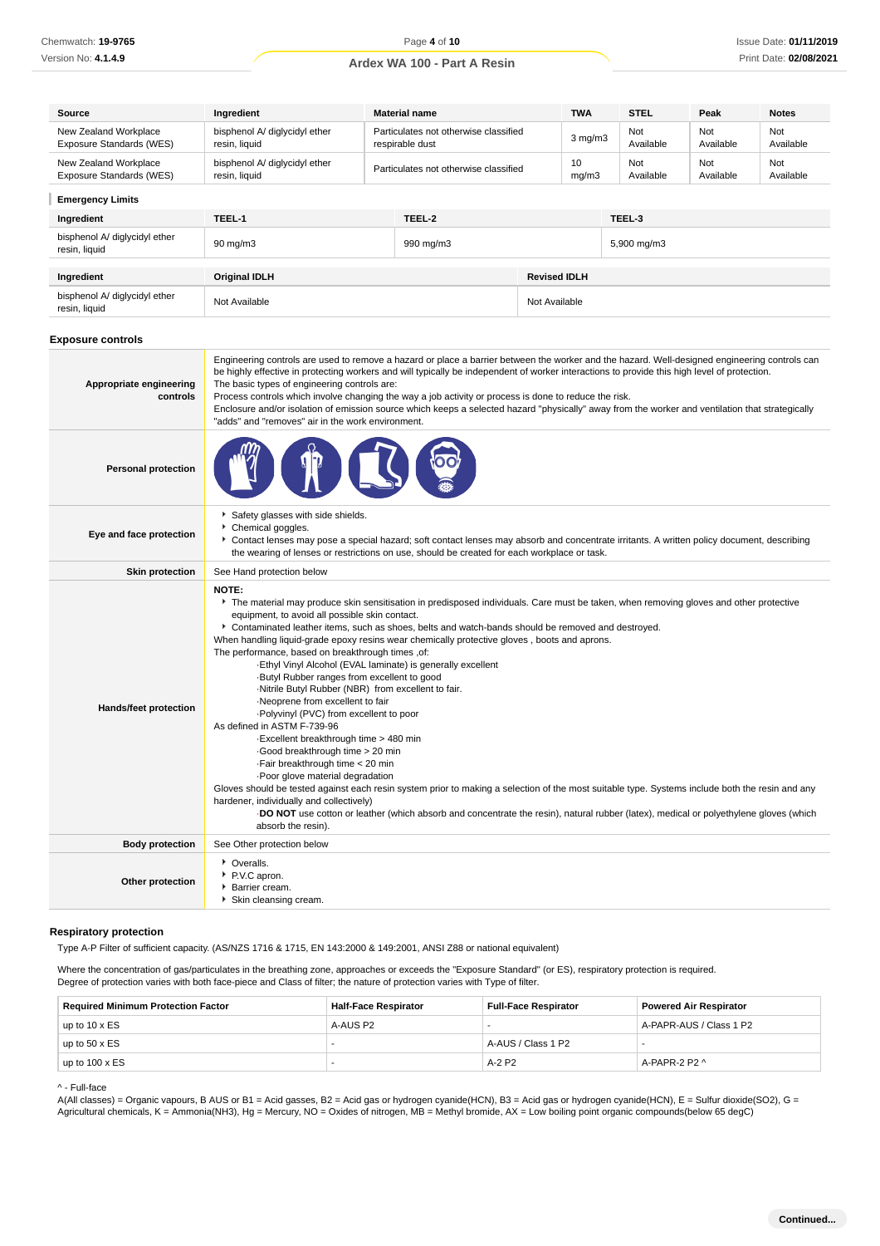| Source                                            | <b>Material name</b><br>Ingredient             |                                                          |               | <b>TWA</b>          | <b>STEL</b>      | Peak             | <b>Notes</b>     |                  |
|---------------------------------------------------|------------------------------------------------|----------------------------------------------------------|---------------|---------------------|------------------|------------------|------------------|------------------|
| New Zealand Workplace<br>Exposure Standards (WES) | bisphenol A/ diglycidyl ether<br>resin, liquid | Particulates not otherwise classified<br>respirable dust |               |                     | $3$ mg/m $3$     | Not<br>Available | Not<br>Available | Not<br>Available |
| New Zealand Workplace<br>Exposure Standards (WES) | bisphenol A/ diglycidyl ether<br>resin, liquid | Particulates not otherwise classified                    |               | 10<br>mg/m3         | Not<br>Available | Not<br>Available | Not<br>Available |                  |
| <b>Emergency Limits</b>                           |                                                |                                                          |               |                     |                  |                  |                  |                  |
| Ingredient                                        | TEEL-1                                         |                                                          | TEEL-2        |                     |                  | TEEL-3           |                  |                  |
| bisphenol A/ diglycidyl ether<br>resin, liquid    | $90 \text{ mg/m}$ 3                            |                                                          | 990 mg/m3     |                     |                  | 5,900 mg/m3      |                  |                  |
|                                                   |                                                |                                                          |               |                     |                  |                  |                  |                  |
| Ingredient                                        | <b>Original IDLH</b>                           |                                                          |               | <b>Revised IDLH</b> |                  |                  |                  |                  |
| bisphenol A/ diglycidyl ether<br>resin, liquid    | Not Available                                  |                                                          | Not Available |                     |                  |                  |                  |                  |

#### **Exposure controls**

| Appropriate engineering<br>controls | Engineering controls are used to remove a hazard or place a barrier between the worker and the hazard. Well-designed engineering controls can<br>be highly effective in protecting workers and will typically be independent of worker interactions to provide this high level of protection.<br>The basic types of engineering controls are:<br>Process controls which involve changing the way a job activity or process is done to reduce the risk.<br>Enclosure and/or isolation of emission source which keeps a selected hazard "physically" away from the worker and ventilation that strategically<br>"adds" and "removes" air in the work environment.                                                                                                                                                                                                                                                                                                                                                                                                                                                                                                                                                                                                  |
|-------------------------------------|------------------------------------------------------------------------------------------------------------------------------------------------------------------------------------------------------------------------------------------------------------------------------------------------------------------------------------------------------------------------------------------------------------------------------------------------------------------------------------------------------------------------------------------------------------------------------------------------------------------------------------------------------------------------------------------------------------------------------------------------------------------------------------------------------------------------------------------------------------------------------------------------------------------------------------------------------------------------------------------------------------------------------------------------------------------------------------------------------------------------------------------------------------------------------------------------------------------------------------------------------------------|
| <b>Personal protection</b>          |                                                                                                                                                                                                                                                                                                                                                                                                                                                                                                                                                                                                                                                                                                                                                                                                                                                                                                                                                                                                                                                                                                                                                                                                                                                                  |
| Eye and face protection             | Safety glasses with side shields.<br>Chemical goggles.<br>▶ Contact lenses may pose a special hazard; soft contact lenses may absorb and concentrate irritants. A written policy document, describing<br>the wearing of lenses or restrictions on use, should be created for each workplace or task.                                                                                                                                                                                                                                                                                                                                                                                                                                                                                                                                                                                                                                                                                                                                                                                                                                                                                                                                                             |
| <b>Skin protection</b>              | See Hand protection below                                                                                                                                                                                                                                                                                                                                                                                                                                                                                                                                                                                                                                                                                                                                                                                                                                                                                                                                                                                                                                                                                                                                                                                                                                        |
| Hands/feet protection               | NOTE:<br>The material may produce skin sensitisation in predisposed individuals. Care must be taken, when removing gloves and other protective<br>equipment, to avoid all possible skin contact.<br>▶ Contaminated leather items, such as shoes, belts and watch-bands should be removed and destroyed.<br>When handling liquid-grade epoxy resins wear chemically protective gloves, boots and aprons.<br>The performance, based on breakthrough times ,of:<br>-Ethyl Vinyl Alcohol (EVAL laminate) is generally excellent<br>Butyl Rubber ranges from excellent to good<br>-Nitrile Butyl Rubber (NBR) from excellent to fair.<br>·Neoprene from excellent to fair<br>. Polyvinyl (PVC) from excellent to poor<br>As defined in ASTM F-739-96<br>-Excellent breakthrough time > 480 min<br>Good breakthrough time > 20 min<br>·Fair breakthrough time < 20 min<br>Poor glove material degradation<br>Gloves should be tested against each resin system prior to making a selection of the most suitable type. Systems include both the resin and any<br>hardener, individually and collectively)<br>DO NOT use cotton or leather (which absorb and concentrate the resin), natural rubber (latex), medical or polyethylene gloves (which<br>absorb the resin). |
| <b>Body protection</b>              | See Other protection below                                                                                                                                                                                                                                                                                                                                                                                                                                                                                                                                                                                                                                                                                                                                                                                                                                                                                                                                                                                                                                                                                                                                                                                                                                       |
| Other protection                    | • Overalls.<br>P.V.C apron.<br><b>Barrier cream.</b><br>Skin cleansing cream.                                                                                                                                                                                                                                                                                                                                                                                                                                                                                                                                                                                                                                                                                                                                                                                                                                                                                                                                                                                                                                                                                                                                                                                    |

#### **Respiratory protection**

Type A-P Filter of sufficient capacity. (AS/NZS 1716 & 1715, EN 143:2000 & 149:2001, ANSI Z88 or national equivalent)

Where the concentration of gas/particulates in the breathing zone, approaches or exceeds the "Exposure Standard" (or ES), respiratory protection is required. Degree of protection varies with both face-piece and Class of filter; the nature of protection varies with Type of filter.

| <b>Required Minimum Protection Factor</b> | <b>Half-Face Respirator</b><br><b>Full-Face Respirator</b> |                    | <b>Powered Air Respirator</b> |  |
|-------------------------------------------|------------------------------------------------------------|--------------------|-------------------------------|--|
| up to $10 \times ES$                      | A-AUS P2                                                   |                    | A-PAPR-AUS / Class 1 P2       |  |
| up to $50 \times ES$                      |                                                            | A-AUS / Class 1 P2 |                               |  |
| up to $100 \times ES$                     |                                                            | $A-2P2$            | A-PAPR-2 P2 ^                 |  |

^ - Full-face

A(All classes) = Organic vapours, B AUS or B1 = Acid gasses, B2 = Acid gas or hydrogen cyanide(HCN), B3 = Acid gas or hydrogen cyanide(HCN), E = Sulfur dioxide(SO2), G = Agricultural chemicals, K = Ammonia(NH3), Hg = Mercury, NO = Oxides of nitrogen, MB = Methyl bromide, AX = Low boiling point organic compounds(below 65 degC)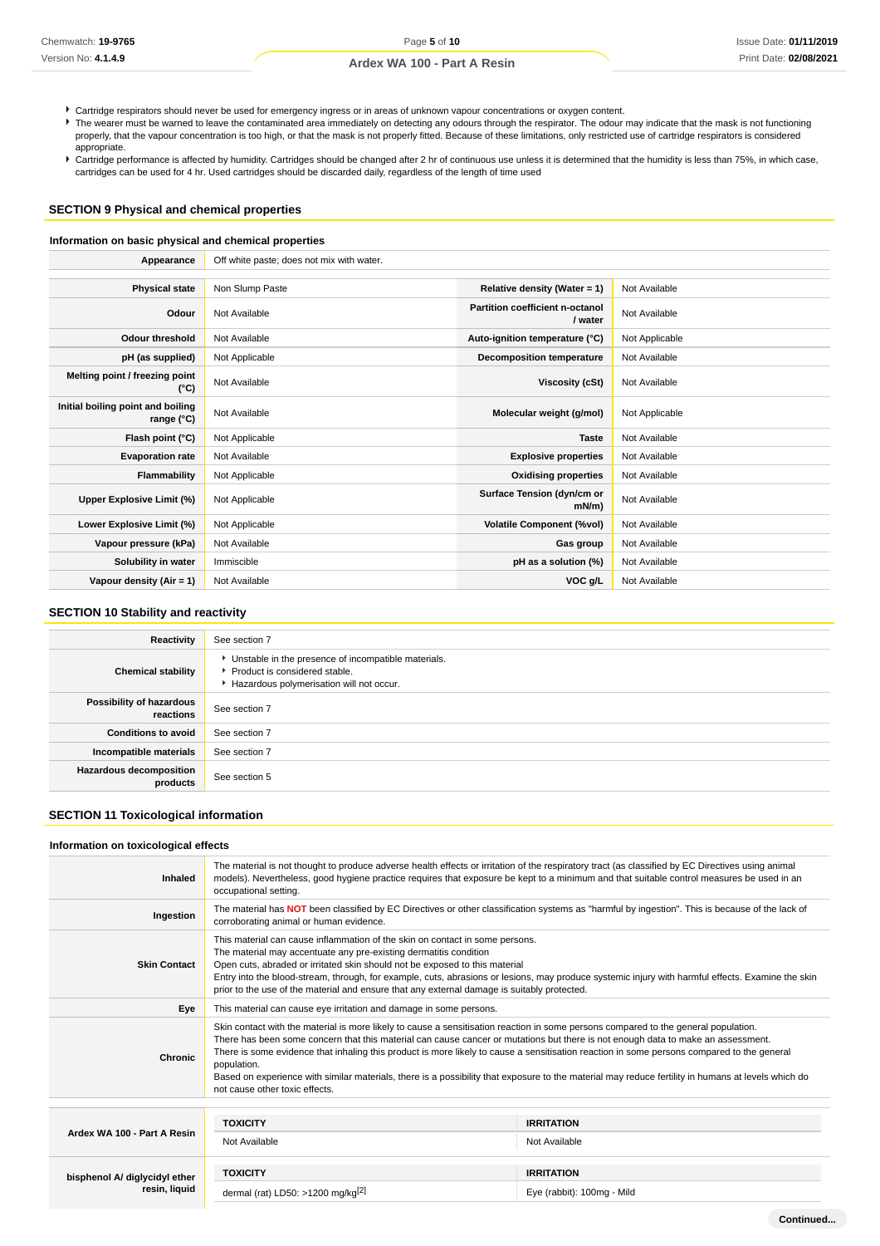Cartridge respirators should never be used for emergency ingress or in areas of unknown vapour concentrations or oxygen content.

The wearer must be warned to leave the contaminated area immediately on detecting any odours through the respirator. The odour may indicate that the mask is not functioning properly, that the vapour concentration is too high, or that the mask is not properly fitted. Because of these limitations, only restricted use of cartridge respirators is considered appropriate.

Cartridge performance is affected by humidity. Cartridges should be changed after 2 hr of continuous use unless it is determined that the humidity is less than 75%, in which case, cartridges can be used for 4 hr. Used cartridges should be discarded daily, regardless of the length of time used

### **SECTION 9 Physical and chemical properties**

#### **Information on basic physical and chemical properties**

| Appearance                                      | Off white paste; does not mix with water. |                                            |                |
|-------------------------------------------------|-------------------------------------------|--------------------------------------------|----------------|
|                                                 |                                           |                                            |                |
| <b>Physical state</b>                           | Non Slump Paste                           | Relative density (Water = $1$ )            | Not Available  |
| Odour                                           | Not Available                             | Partition coefficient n-octanol<br>/ water | Not Available  |
| <b>Odour threshold</b>                          | Not Available                             | Auto-ignition temperature (°C)             | Not Applicable |
| pH (as supplied)                                | Not Applicable                            | <b>Decomposition temperature</b>           | Not Available  |
| Melting point / freezing point<br>(°C)          | Not Available                             | Viscosity (cSt)                            | Not Available  |
| Initial boiling point and boiling<br>range (°C) | Not Available                             | Molecular weight (g/mol)                   | Not Applicable |
| Flash point (°C)                                | Not Applicable                            | <b>Taste</b>                               | Not Available  |
| <b>Evaporation rate</b>                         | Not Available                             | <b>Explosive properties</b>                | Not Available  |
| Flammability                                    | Not Applicable                            | <b>Oxidising properties</b>                | Not Available  |
| Upper Explosive Limit (%)                       | Not Applicable                            | Surface Tension (dyn/cm or<br>$mN/m$ )     | Not Available  |
| Lower Explosive Limit (%)                       | Not Applicable                            | <b>Volatile Component (%vol)</b>           | Not Available  |
| Vapour pressure (kPa)                           | Not Available                             | Gas group                                  | Not Available  |
| Solubility in water                             | Immiscible                                | pH as a solution (%)                       | Not Available  |
| Vapour density $(Air = 1)$                      | Not Available                             | VOC g/L                                    | Not Available  |

### **SECTION 10 Stability and reactivity**

| Reactivity                                 | See section 7                                                                                                                      |
|--------------------------------------------|------------------------------------------------------------------------------------------------------------------------------------|
| <b>Chemical stability</b>                  | Unstable in the presence of incompatible materials.<br>▶ Product is considered stable.<br>Hazardous polymerisation will not occur. |
| Possibility of hazardous<br>reactions      | See section 7                                                                                                                      |
| <b>Conditions to avoid</b>                 | See section 7                                                                                                                      |
| Incompatible materials                     | See section 7                                                                                                                      |
| <b>Hazardous decomposition</b><br>products | See section 5                                                                                                                      |

### **SECTION 11 Toxicological information**

#### **Information on toxicological effects**

| Inhaled                       | The material is not thought to produce adverse health effects or irritation of the respiratory tract (as classified by EC Directives using animal<br>models). Nevertheless, good hygiene practice requires that exposure be kept to a minimum and that suitable control measures be used in an<br>occupational setting.                                                                                                                                                                                                                                                                                                      |                            |  |  |  |
|-------------------------------|------------------------------------------------------------------------------------------------------------------------------------------------------------------------------------------------------------------------------------------------------------------------------------------------------------------------------------------------------------------------------------------------------------------------------------------------------------------------------------------------------------------------------------------------------------------------------------------------------------------------------|----------------------------|--|--|--|
| Ingestion                     | The material has NOT been classified by EC Directives or other classification systems as "harmful by ingestion". This is because of the lack of<br>corroborating animal or human evidence.                                                                                                                                                                                                                                                                                                                                                                                                                                   |                            |  |  |  |
| <b>Skin Contact</b>           | This material can cause inflammation of the skin on contact in some persons.<br>The material may accentuate any pre-existing dermatitis condition<br>Open cuts, abraded or irritated skin should not be exposed to this material<br>Entry into the blood-stream, through, for example, cuts, abrasions or lesions, may produce systemic injury with harmful effects. Examine the skin<br>prior to the use of the material and ensure that any external damage is suitably protected.                                                                                                                                         |                            |  |  |  |
| Eye                           | This material can cause eye irritation and damage in some persons.                                                                                                                                                                                                                                                                                                                                                                                                                                                                                                                                                           |                            |  |  |  |
| Chronic                       | Skin contact with the material is more likely to cause a sensitisation reaction in some persons compared to the general population.<br>There has been some concern that this material can cause cancer or mutations but there is not enough data to make an assessment.<br>There is some evidence that inhaling this product is more likely to cause a sensitisation reaction in some persons compared to the general<br>population.<br>Based on experience with similar materials, there is a possibility that exposure to the material may reduce fertility in humans at levels which do<br>not cause other toxic effects. |                            |  |  |  |
|                               |                                                                                                                                                                                                                                                                                                                                                                                                                                                                                                                                                                                                                              |                            |  |  |  |
|                               | <b>TOXICITY</b>                                                                                                                                                                                                                                                                                                                                                                                                                                                                                                                                                                                                              | <b>IRRITATION</b>          |  |  |  |
| Ardex WA 100 - Part A Resin   | Not Available                                                                                                                                                                                                                                                                                                                                                                                                                                                                                                                                                                                                                | Not Available              |  |  |  |
| bisphenol A/ diglycidyl ether | <b>TOXICITY</b>                                                                                                                                                                                                                                                                                                                                                                                                                                                                                                                                                                                                              | <b>IRRITATION</b>          |  |  |  |
| resin, liquid                 | dermal (rat) LD50: >1200 mg/kg $^{[2]}$                                                                                                                                                                                                                                                                                                                                                                                                                                                                                                                                                                                      | Eye (rabbit): 100mg - Mild |  |  |  |
|                               |                                                                                                                                                                                                                                                                                                                                                                                                                                                                                                                                                                                                                              |                            |  |  |  |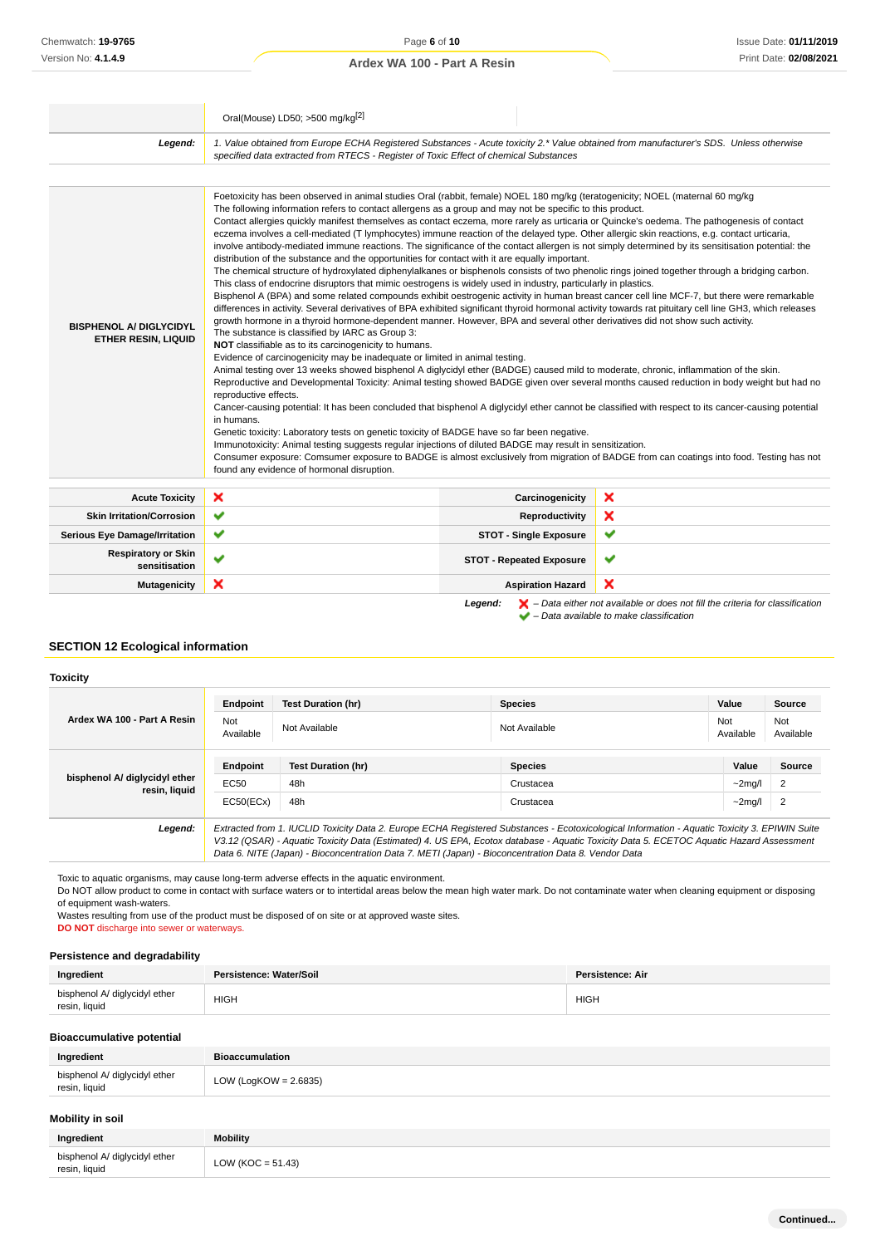|                                                              | Oral(Mouse) LD50; >500 mg/kg <sup>[2]</sup>                                                                                                                                                                                                                                                                                                                                                                                                                                                                                                                                                                                                                                                                                                                                                                                                                                                                                                                                                                                                                                                                                                                                                                                                                                                                                                                                                                                                                                                                                                                                                                                                                                                                                                                                                                                                                                                                                                                                                                                                                                                                                                                                                                                                                                                           |                                 |                                                                                                                                                                                                                                                                                       |  |  |
|--------------------------------------------------------------|-------------------------------------------------------------------------------------------------------------------------------------------------------------------------------------------------------------------------------------------------------------------------------------------------------------------------------------------------------------------------------------------------------------------------------------------------------------------------------------------------------------------------------------------------------------------------------------------------------------------------------------------------------------------------------------------------------------------------------------------------------------------------------------------------------------------------------------------------------------------------------------------------------------------------------------------------------------------------------------------------------------------------------------------------------------------------------------------------------------------------------------------------------------------------------------------------------------------------------------------------------------------------------------------------------------------------------------------------------------------------------------------------------------------------------------------------------------------------------------------------------------------------------------------------------------------------------------------------------------------------------------------------------------------------------------------------------------------------------------------------------------------------------------------------------------------------------------------------------------------------------------------------------------------------------------------------------------------------------------------------------------------------------------------------------------------------------------------------------------------------------------------------------------------------------------------------------------------------------------------------------------------------------------------------------|---------------------------------|---------------------------------------------------------------------------------------------------------------------------------------------------------------------------------------------------------------------------------------------------------------------------------------|--|--|
| Legend:                                                      | 1. Value obtained from Europe ECHA Registered Substances - Acute toxicity 2.* Value obtained from manufacturer's SDS. Unless otherwise<br>specified data extracted from RTECS - Register of Toxic Effect of chemical Substances                                                                                                                                                                                                                                                                                                                                                                                                                                                                                                                                                                                                                                                                                                                                                                                                                                                                                                                                                                                                                                                                                                                                                                                                                                                                                                                                                                                                                                                                                                                                                                                                                                                                                                                                                                                                                                                                                                                                                                                                                                                                       |                                 |                                                                                                                                                                                                                                                                                       |  |  |
|                                                              |                                                                                                                                                                                                                                                                                                                                                                                                                                                                                                                                                                                                                                                                                                                                                                                                                                                                                                                                                                                                                                                                                                                                                                                                                                                                                                                                                                                                                                                                                                                                                                                                                                                                                                                                                                                                                                                                                                                                                                                                                                                                                                                                                                                                                                                                                                       |                                 |                                                                                                                                                                                                                                                                                       |  |  |
| <b>BISPHENOL A/ DIGLYCIDYL</b><br><b>ETHER RESIN, LIQUID</b> | Foetoxicity has been observed in animal studies Oral (rabbit, female) NOEL 180 mg/kg (teratogenicity; NOEL (maternal 60 mg/kg<br>The following information refers to contact allergens as a group and may not be specific to this product.<br>Contact allergies quickly manifest themselves as contact eczema, more rarely as urticaria or Quincke's oedema. The pathogenesis of contact<br>eczema involves a cell-mediated (T lymphocytes) immune reaction of the delayed type. Other allergic skin reactions, e.g. contact urticaria,<br>involve antibody-mediated immune reactions. The significance of the contact allergen is not simply determined by its sensitisation potential: the<br>distribution of the substance and the opportunities for contact with it are equally important.<br>The chemical structure of hydroxylated diphenylalkanes or bisphenols consists of two phenolic rings joined together through a bridging carbon.<br>This class of endocrine disruptors that mimic oestrogens is widely used in industry, particularly in plastics.<br>Bisphenol A (BPA) and some related compounds exhibit oestrogenic activity in human breast cancer cell line MCF-7, but there were remarkable<br>differences in activity. Several derivatives of BPA exhibited significant thyroid hormonal activity towards rat pituitary cell line GH3, which releases<br>growth hormone in a thyroid hormone-dependent manner. However, BPA and several other derivatives did not show such activity.<br>The substance is classified by IARC as Group 3:<br>NOT classifiable as to its carcinogenicity to humans.<br>Evidence of carcinogenicity may be inadequate or limited in animal testing.<br>Animal testing over 13 weeks showed bisphenol A diglycidyl ether (BADGE) caused mild to moderate, chronic, inflammation of the skin.<br>reproductive effects.<br>Cancer-causing potential: It has been concluded that bisphenol A diglycidyl ether cannot be classified with respect to its cancer-causing potential<br>in humans.<br>Genetic toxicity: Laboratory tests on genetic toxicity of BADGE have so far been negative.<br>Immunotoxicity: Animal testing suggests regular injections of diluted BADGE may result in sensitization.<br>found any evidence of hormonal disruption. |                                 | Reproductive and Developmental Toxicity: Animal testing showed BADGE given over several months caused reduction in body weight but had no<br>Consumer exposure: Comsumer exposure to BADGE is almost exclusively from migration of BADGE from can coatings into food. Testing has not |  |  |
| <b>Acute Toxicity</b>                                        | ×                                                                                                                                                                                                                                                                                                                                                                                                                                                                                                                                                                                                                                                                                                                                                                                                                                                                                                                                                                                                                                                                                                                                                                                                                                                                                                                                                                                                                                                                                                                                                                                                                                                                                                                                                                                                                                                                                                                                                                                                                                                                                                                                                                                                                                                                                                     | Carcinogenicity                 | ×                                                                                                                                                                                                                                                                                     |  |  |
| <b>Skin Irritation/Corrosion</b>                             | ✔                                                                                                                                                                                                                                                                                                                                                                                                                                                                                                                                                                                                                                                                                                                                                                                                                                                                                                                                                                                                                                                                                                                                                                                                                                                                                                                                                                                                                                                                                                                                                                                                                                                                                                                                                                                                                                                                                                                                                                                                                                                                                                                                                                                                                                                                                                     | Reproductivity                  | ×                                                                                                                                                                                                                                                                                     |  |  |
| <b>Serious Eye Damage/Irritation</b>                         | ✔                                                                                                                                                                                                                                                                                                                                                                                                                                                                                                                                                                                                                                                                                                                                                                                                                                                                                                                                                                                                                                                                                                                                                                                                                                                                                                                                                                                                                                                                                                                                                                                                                                                                                                                                                                                                                                                                                                                                                                                                                                                                                                                                                                                                                                                                                                     | <b>STOT - Single Exposure</b>   | ✔                                                                                                                                                                                                                                                                                     |  |  |
| <b>Respiratory or Skin</b><br>sensitisation                  | ✔                                                                                                                                                                                                                                                                                                                                                                                                                                                                                                                                                                                                                                                                                                                                                                                                                                                                                                                                                                                                                                                                                                                                                                                                                                                                                                                                                                                                                                                                                                                                                                                                                                                                                                                                                                                                                                                                                                                                                                                                                                                                                                                                                                                                                                                                                                     | <b>STOT - Repeated Exposure</b> | ✔                                                                                                                                                                                                                                                                                     |  |  |
| <b>Mutagenicity</b>                                          | ×                                                                                                                                                                                                                                                                                                                                                                                                                                                                                                                                                                                                                                                                                                                                                                                                                                                                                                                                                                                                                                                                                                                                                                                                                                                                                                                                                                                                                                                                                                                                                                                                                                                                                                                                                                                                                                                                                                                                                                                                                                                                                                                                                                                                                                                                                                     | <b>Aspiration Hazard</b>        | ×                                                                                                                                                                                                                                                                                     |  |  |
|                                                              |                                                                                                                                                                                                                                                                                                                                                                                                                                                                                                                                                                                                                                                                                                                                                                                                                                                                                                                                                                                                                                                                                                                                                                                                                                                                                                                                                                                                                                                                                                                                                                                                                                                                                                                                                                                                                                                                                                                                                                                                                                                                                                                                                                                                                                                                                                       | Leaend:                         | $\blacktriangleright$ – Data either not available or does not fill the criteria for classification                                                                                                                                                                                    |  |  |

 $\blacktriangleright$  – Data either not available or ups in the -<br>  $\blacktriangleright$  – Data available to make classification

### **SECTION 12 Ecological information**

### **Toxicity**

|                                                | Endpoint                                                                                                                                                                                                                                                                                 | <b>Test Duration (hr)</b> | <b>Species</b> | Value            | Source           |
|------------------------------------------------|------------------------------------------------------------------------------------------------------------------------------------------------------------------------------------------------------------------------------------------------------------------------------------------|---------------------------|----------------|------------------|------------------|
| Ardex WA 100 - Part A Resin                    | Not<br>Available                                                                                                                                                                                                                                                                         | Not Available             | Not Available  | Not<br>Available | Not<br>Available |
|                                                | Endpoint                                                                                                                                                                                                                                                                                 | <b>Test Duration (hr)</b> | <b>Species</b> | Value            | <b>Source</b>    |
| bisphenol A/ diglycidyl ether<br>resin, liquid | EC50                                                                                                                                                                                                                                                                                     | 48h                       | Crustacea      | $\sim$ 2mg/l     | $\overline{2}$   |
|                                                | EC50(ECx)                                                                                                                                                                                                                                                                                | 48h                       | Crustacea      | $\sim$ 2mg/l     | $\overline{2}$   |
| Legend:                                        | Extracted from 1. IUCLID Toxicity Data 2. Europe ECHA Registered Substances - Ecotoxicological Information - Aquatic Toxicity 3. EPIWIN Suite<br>V3.12 (QSAR) - Aquatic Toxicity Data (Estimated) 4. US EPA, Ecotox database - Aquatic Toxicity Data 5. ECETOC Aquatic Hazard Assessment |                           |                |                  |                  |

Toxic to aquatic organisms, may cause long-term adverse effects in the aquatic environment.

Do NOT allow product to come in contact with surface waters or to intertidal areas below the mean high water mark. Do not contaminate water when cleaning equipment or disposing of equipment wash-waters.

Data 6. NITE (Japan) - Bioconcentration Data 7. METI (Japan) - Bioconcentration Data 8. Vendor Data

Wastes resulting from use of the product must be disposed of on site or at approved waste sites.

**DO NOT** discharge into sewer or waterways.

#### **Persistence and degradability**

| Ingredient                                     | Persistence: Water/Soil  | <b>Persistence: Air</b> |
|------------------------------------------------|--------------------------|-------------------------|
| bisphenol A/ diglycidyl ether<br>resin, liquid | <b>HIGH</b>              | <b>HIGH</b>             |
| <b>Bioaccumulative potential</b>               |                          |                         |
| Ingredient                                     | <b>Bioaccumulation</b>   |                         |
| bisphenol A/ diglycidyl ether<br>resin, liquid | LOW (LogKOW = $2.6835$ ) |                         |
| Mobility in soil                               |                          |                         |
| Ingredient                                     | <b>Mobility</b>          |                         |

| -------------                                  | ----------           |
|------------------------------------------------|----------------------|
| bisphenol A/ diglycidyl ether<br>resin, liquid | LOW (KOC = $51.43$ ) |
|                                                |                      |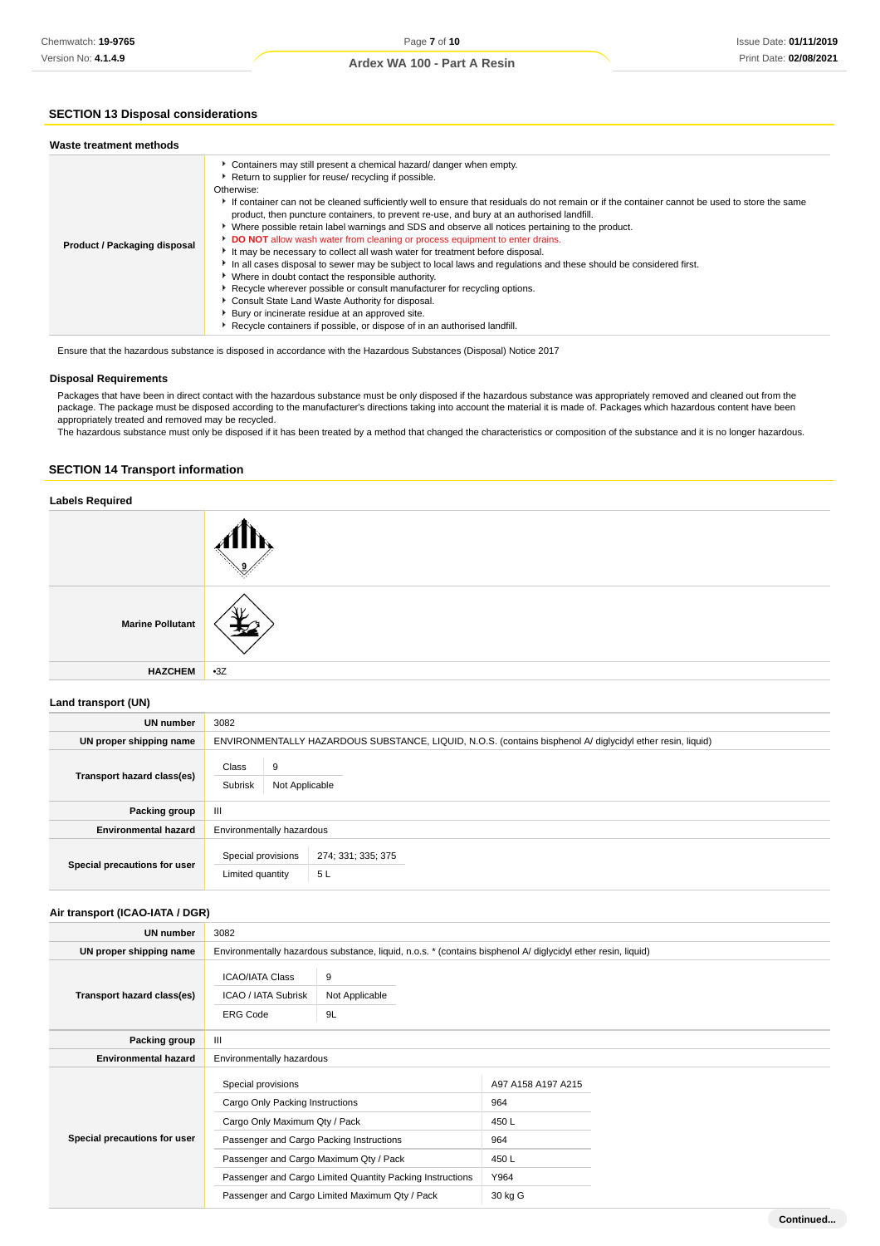### **SECTION 13 Disposal considerations**

| Waste treatment methods      |                                                                                                                                                                                                                                                                                                                                                                                                                                                                                                                                                                                                                                                                                                                                                                                                                                                                                                                                                                                                                                                                                                     |
|------------------------------|-----------------------------------------------------------------------------------------------------------------------------------------------------------------------------------------------------------------------------------------------------------------------------------------------------------------------------------------------------------------------------------------------------------------------------------------------------------------------------------------------------------------------------------------------------------------------------------------------------------------------------------------------------------------------------------------------------------------------------------------------------------------------------------------------------------------------------------------------------------------------------------------------------------------------------------------------------------------------------------------------------------------------------------------------------------------------------------------------------|
| Product / Packaging disposal | Containers may still present a chemical hazard/ danger when empty.<br>Return to supplier for reuse/ recycling if possible.<br>Otherwise:<br>If container can not be cleaned sufficiently well to ensure that residuals do not remain or if the container cannot be used to store the same<br>product, then puncture containers, to prevent re-use, and bury at an authorised landfill.<br>▶ Where possible retain label warnings and SDS and observe all notices pertaining to the product.<br>DO NOT allow wash water from cleaning or process equipment to enter drains.<br>It may be necessary to collect all wash water for treatment before disposal.<br>In all cases disposal to sewer may be subject to local laws and regulations and these should be considered first.<br>Where in doubt contact the responsible authority.<br>Recycle wherever possible or consult manufacturer for recycling options.<br>Consult State Land Waste Authority for disposal.<br>Bury or incinerate residue at an approved site.<br>Recycle containers if possible, or dispose of in an authorised landfill. |
|                              |                                                                                                                                                                                                                                                                                                                                                                                                                                                                                                                                                                                                                                                                                                                                                                                                                                                                                                                                                                                                                                                                                                     |

Ensure that the hazardous substance is disposed in accordance with the Hazardous Substances (Disposal) Notice 2017

#### **Disposal Requirements**

Packages that have been in direct contact with the hazardous substance must be only disposed if the hazardous substance was appropriately removed and cleaned out from the package. The package must be disposed according to the manufacturer's directions taking into account the material it is made of. Packages which hazardous content have been appropriately treated and removed may be recycled.

The hazardous substance must only be disposed if it has been treated by a method that changed the characteristics or composition of the substance and it is no longer hazardous.

#### **SECTION 14 Transport information**

| <b>Labels Required</b>  |       |
|-------------------------|-------|
|                         |       |
| <b>Marine Pollutant</b> |       |
| <b>HAZCHEM</b>          | $-3Z$ |

#### **Land transport (UN)**

| UN number                    | 3082                                    |                                                                                                            |  |  |  |
|------------------------------|-----------------------------------------|------------------------------------------------------------------------------------------------------------|--|--|--|
| UN proper shipping name      |                                         | ENVIRONMENTALLY HAZARDOUS SUBSTANCE, LIQUID, N.O.S. (contains bisphenol A/ diglycidyl ether resin, liquid) |  |  |  |
| Transport hazard class(es)   | Class<br>9<br>Subrisk<br>Not Applicable |                                                                                                            |  |  |  |
| Packing group                | Ш                                       |                                                                                                            |  |  |  |
| <b>Environmental hazard</b>  | Environmentally hazardous               |                                                                                                            |  |  |  |
| Special precautions for user | Special provisions<br>Limited quantity  | 274; 331; 335; 375<br>5 L                                                                                  |  |  |  |

### **Air transport (ICAO-IATA / DGR)**

| UN number                    | 3082                                                                                                                                                                                                                                                                                        |  |                                                                       |  |  |
|------------------------------|---------------------------------------------------------------------------------------------------------------------------------------------------------------------------------------------------------------------------------------------------------------------------------------------|--|-----------------------------------------------------------------------|--|--|
| UN proper shipping name      | Environmentally hazardous substance, liquid, n.o.s. * (contains bisphenol A/ diglycidyl ether resin, liquid)                                                                                                                                                                                |  |                                                                       |  |  |
| Transport hazard class(es)   | <b>ICAO/IATA Class</b><br>9<br><b>ICAO / IATA Subrisk</b><br>Not Applicable<br><b>ERG Code</b><br>9L                                                                                                                                                                                        |  |                                                                       |  |  |
| Packing group                | Ш                                                                                                                                                                                                                                                                                           |  |                                                                       |  |  |
| <b>Environmental hazard</b>  | Environmentally hazardous                                                                                                                                                                                                                                                                   |  |                                                                       |  |  |
| Special precautions for user | Special provisions<br>Cargo Only Packing Instructions<br>Cargo Only Maximum Qty / Pack<br>Passenger and Cargo Packing Instructions<br>Passenger and Cargo Maximum Qty / Pack<br>Passenger and Cargo Limited Quantity Packing Instructions<br>Passenger and Cargo Limited Maximum Qty / Pack |  | A97 A158 A197 A215<br>964<br>450 L<br>964<br>450 L<br>Y964<br>30 kg G |  |  |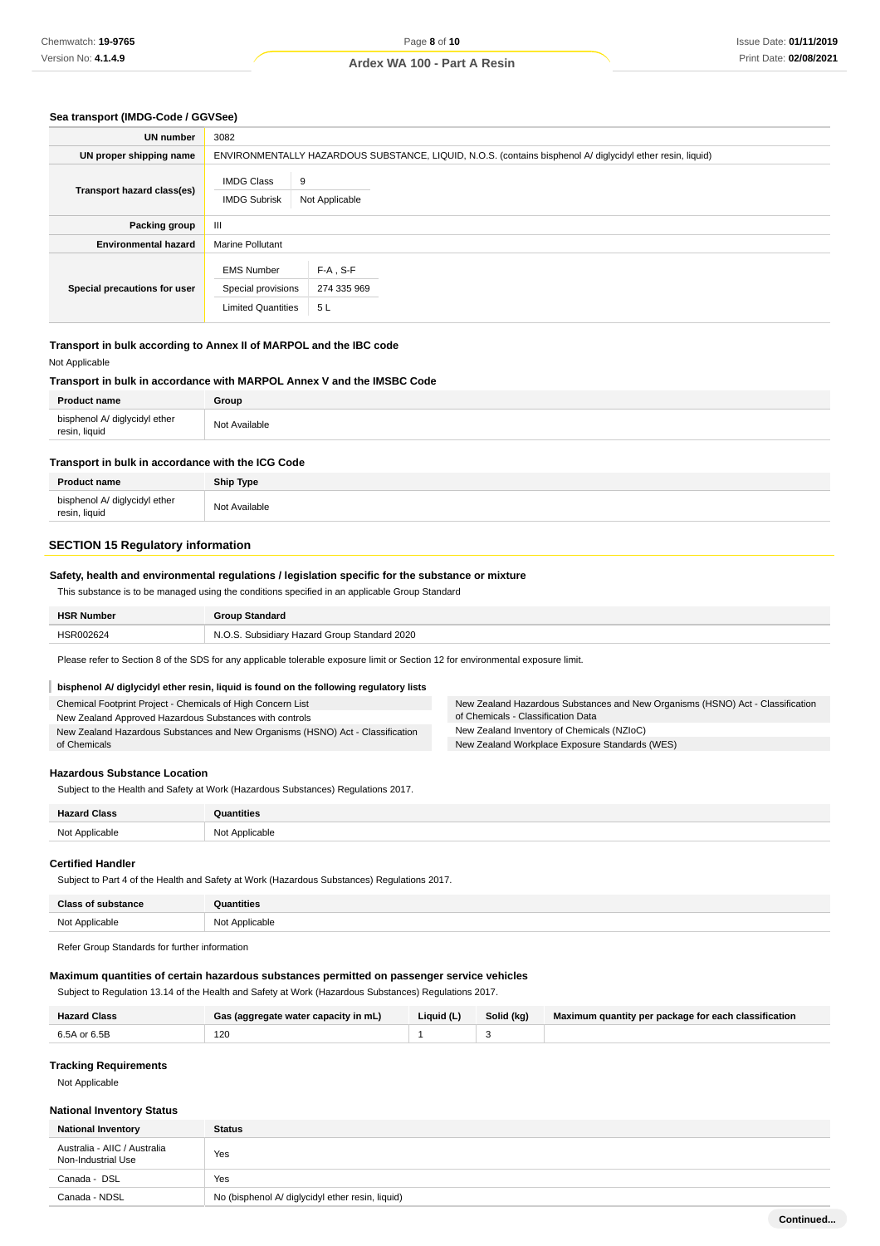#### **Sea transport (IMDG-Code / GGVSee)**

| UN number                    | 3082                                                                 |                                                                                                            |  |  |  |
|------------------------------|----------------------------------------------------------------------|------------------------------------------------------------------------------------------------------------|--|--|--|
| UN proper shipping name      |                                                                      | ENVIRONMENTALLY HAZARDOUS SUBSTANCE, LIQUID, N.O.S. (contains bisphenol A/ diglycidyl ether resin, liquid) |  |  |  |
| Transport hazard class(es)   | <b>IMDG Class</b><br><b>IMDG Subrisk</b>                             | 9<br>Not Applicable                                                                                        |  |  |  |
| Packing group                | Ш                                                                    |                                                                                                            |  |  |  |
| <b>Environmental hazard</b>  | <b>Marine Pollutant</b>                                              |                                                                                                            |  |  |  |
| Special precautions for user | <b>EMS Number</b><br>Special provisions<br><b>Limited Quantities</b> | $F-A$ , $S-F$<br>274 335 969<br>5L                                                                         |  |  |  |

#### **Transport in bulk according to Annex II of MARPOL and the IBC code** Not Applicable

#### **Transport in bulk in accordance with MARPOL Annex V and the IMSBC Code**

| <b>Product name</b>                            | Group         |
|------------------------------------------------|---------------|
| bisphenol A/ diglycidyl ether<br>resin, liquid | Not Available |

#### **Transport in bulk in accordance with the ICG Code**

| <b>Product name</b>                            | <b>Ship Type</b> |
|------------------------------------------------|------------------|
| bisphenol A/ diglycidyl ether<br>resin, liquid | Not Available    |

### **SECTION 15 Regulatory information**

#### **Safety, health and environmental regulations / legislation specific for the substance or mixture**

This substance is to be managed using the conditions specified in an applicable Group Standard

| <b>HSR Number</b> | Group Standard                        |
|-------------------|---------------------------------------|
| <b>HSR002624</b>  | Subsidiary Hazard Group Standard 2020 |

of Chemicals - Classification Data New Zealand Inventory of Chemicals (NZIoC) New Zealand Workplace Exposure Standards (WES)

New Zealand Hazardous Substances and New Organisms (HSNO) Act - Classification

Please refer to Section 8 of the SDS for any applicable tolerable exposure limit or Section 12 for environmental exposure limit.

#### I **bisphenol A/ diglycidyl ether resin, liquid is found on the following regulatory lists**

Chemical Footprint Project - Chemicals of High Concern List

New Zealand Approved Hazardous Substances with controls

New Zealand Hazardous Substances and New Organisms (HSNO) Act - Classification of Chemicals

**Hazardous Substance Location**

Subject to the Health and Safety at Work (Hazardous Substances) Regulations 2017.

| <b>Hazard Class</b> | <b>ntities</b> |
|---------------------|----------------|
| Not Applicable      | Not Applicable |

### **Certified Handler**

Subject to Part 4 of the Health and Safety at Work (Hazardous Substances) Regulations 2017.

| $n_{\rm L}$ |              |
|-------------|--------------|
| <b>100</b>  | 10<br>w<br>. |

Refer Group Standards for further information

#### **Maximum quantities of certain hazardous substances permitted on passenger service vehicles**

Subject to Regulation 13.14 of the Health and Safety at Work (Hazardous Substances) Regulations 2017.

| <b>Hazard Class</b> | Gas (aggregate water capacity in mL) | Liquid (L) | Solid (kg) | Maximum quantity per package for each classification |
|---------------------|--------------------------------------|------------|------------|------------------------------------------------------|
| 6.5A or 6.5B        | 120                                  |            |            |                                                      |

#### **Tracking Requirements**

Not Applicable

#### **National Inventory Status**

| <b>National Inventory</b>                          | <b>Status</b>                                    |  |  |
|----------------------------------------------------|--------------------------------------------------|--|--|
| Australia - AIIC / Australia<br>Non-Industrial Use | Yes                                              |  |  |
| Canada - DSL                                       | Yes                                              |  |  |
| Canada - NDSL                                      | No (bisphenol A/ diglycidyl ether resin, liquid) |  |  |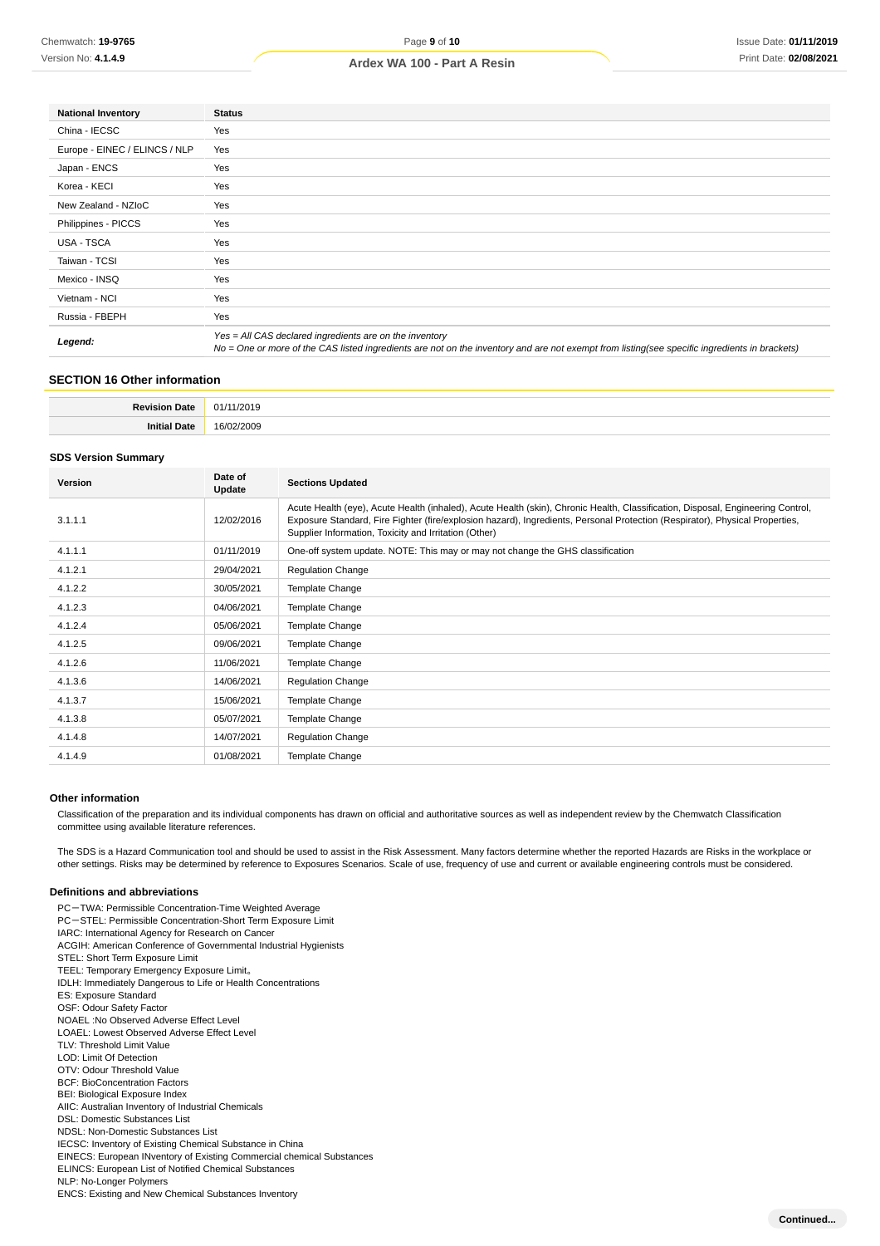| <b>National Inventory</b>     | <b>Status</b>                                                                                                                                                                                            |
|-------------------------------|----------------------------------------------------------------------------------------------------------------------------------------------------------------------------------------------------------|
| China - IECSC                 | Yes                                                                                                                                                                                                      |
| Europe - EINEC / ELINCS / NLP | Yes                                                                                                                                                                                                      |
| Japan - ENCS                  | Yes                                                                                                                                                                                                      |
| Korea - KECI                  | Yes                                                                                                                                                                                                      |
| New Zealand - NZIoC           | Yes                                                                                                                                                                                                      |
| Philippines - PICCS           | Yes                                                                                                                                                                                                      |
| USA - TSCA                    | Yes                                                                                                                                                                                                      |
| Taiwan - TCSI                 | Yes                                                                                                                                                                                                      |
| Mexico - INSQ                 | Yes                                                                                                                                                                                                      |
| Vietnam - NCI                 | Yes                                                                                                                                                                                                      |
| Russia - FBEPH                | Yes                                                                                                                                                                                                      |
| Legend:                       | Yes = All CAS declared ingredients are on the inventory<br>No = One or more of the CAS listed ingredients are not on the inventory and are not exempt from listing(see specific ingredients in brackets) |

### **SECTION 16 Other information**

| D <sub>o</sub><br> | .                |
|--------------------|------------------|
| 1246               | 161<br>ורזר<br>. |

#### **SDS Version Summary**

| Version | Date of<br>Update | <b>Sections Updated</b>                                                                                                                                                                                                                                                                                                  |
|---------|-------------------|--------------------------------------------------------------------------------------------------------------------------------------------------------------------------------------------------------------------------------------------------------------------------------------------------------------------------|
| 3.1.1.1 | 12/02/2016        | Acute Health (eye), Acute Health (inhaled), Acute Health (skin), Chronic Health, Classification, Disposal, Engineering Control,<br>Exposure Standard, Fire Fighter (fire/explosion hazard), Ingredients, Personal Protection (Respirator), Physical Properties,<br>Supplier Information, Toxicity and Irritation (Other) |
| 4.1.1.1 | 01/11/2019        | One-off system update. NOTE: This may or may not change the GHS classification                                                                                                                                                                                                                                           |
| 4.1.2.1 | 29/04/2021        | <b>Regulation Change</b>                                                                                                                                                                                                                                                                                                 |
| 4.1.2.2 | 30/05/2021        | Template Change                                                                                                                                                                                                                                                                                                          |
| 4.1.2.3 | 04/06/2021        | Template Change                                                                                                                                                                                                                                                                                                          |
| 4.1.2.4 | 05/06/2021        | Template Change                                                                                                                                                                                                                                                                                                          |
| 4.1.2.5 | 09/06/2021        | Template Change                                                                                                                                                                                                                                                                                                          |
| 4.1.2.6 | 11/06/2021        | Template Change                                                                                                                                                                                                                                                                                                          |
| 4.1.3.6 | 14/06/2021        | <b>Regulation Change</b>                                                                                                                                                                                                                                                                                                 |
| 4.1.3.7 | 15/06/2021        | Template Change                                                                                                                                                                                                                                                                                                          |
| 4.1.3.8 | 05/07/2021        | Template Change                                                                                                                                                                                                                                                                                                          |
| 4.1.4.8 | 14/07/2021        | <b>Regulation Change</b>                                                                                                                                                                                                                                                                                                 |
| 4.1.4.9 | 01/08/2021        | Template Change                                                                                                                                                                                                                                                                                                          |

#### **Other information**

Classification of the preparation and its individual components has drawn on official and authoritative sources as well as independent review by the Chemwatch Classification committee using available literature references.

The SDS is a Hazard Communication tool and should be used to assist in the Risk Assessment. Many factors determine whether the reported Hazards are Risks in the workplace or other settings. Risks may be determined by reference to Exposures Scenarios. Scale of use, frequency of use and current or available engineering controls must be considered.

#### **Definitions and abbreviations**

PC-TWA: Permissible Concentration-Time Weighted Average PC-STEL: Permissible Concentration-Short Term Exposure Limit IARC: International Agency for Research on Cancer ACGIH: American Conference of Governmental Industrial Hygienists STEL: Short Term Exposure Limit TEEL: Temporary Emergency Exposure Limit。 IDLH: Immediately Dangerous to Life or Health Concentrations ES: Exposure Standard OSF: Odour Safety Factor NOAEL :No Observed Adverse Effect Level LOAEL: Lowest Observed Adverse Effect Level TLV: Threshold Limit Value LOD: Limit Of Detection OTV: Odour Threshold Value BCF: BioConcentration Factors BEI: Biological Exposure Index AIIC: Australian Inventory of Industrial Chemicals DSL: Domestic Substances List NDSL: Non-Domestic Substances List IECSC: Inventory of Existing Chemical Substance in China EINECS: European INventory of Existing Commercial chemical Substances ELINCS: European List of Notified Chemical Substances NLP: No-Longer Polymers ENCS: Existing and New Chemical Substances Inventory